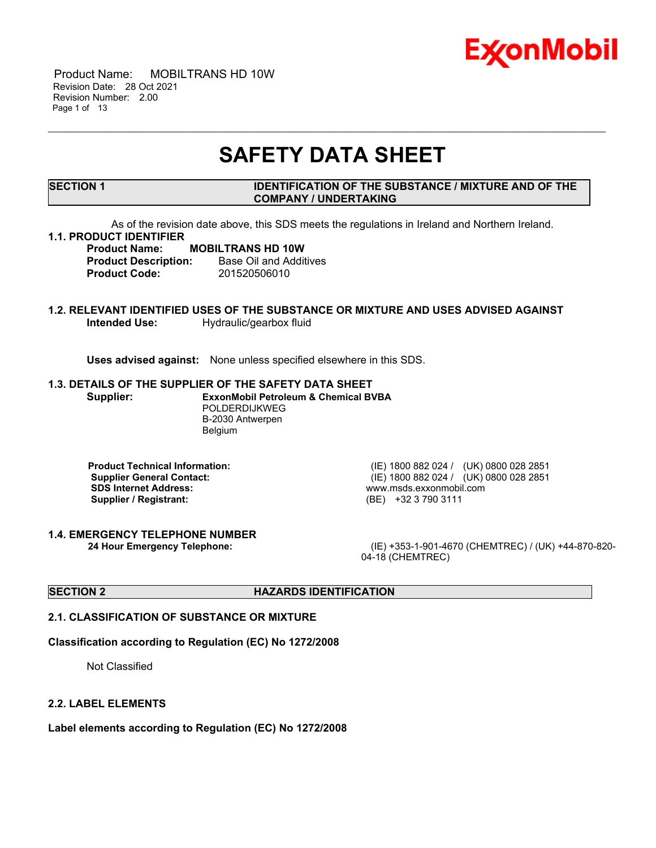

 Product Name: MOBILTRANS HD 10W Revision Date: 28 Oct 2021 Revision Number: 2.00 Page 1 of 13

## **SAFETY DATA SHEET**

\_\_\_\_\_\_\_\_\_\_\_\_\_\_\_\_\_\_\_\_\_\_\_\_\_\_\_\_\_\_\_\_\_\_\_\_\_\_\_\_\_\_\_\_\_\_\_\_\_\_\_\_\_\_\_\_\_\_\_\_\_\_\_\_\_\_\_\_\_\_\_\_\_\_\_\_\_\_\_\_\_\_\_\_\_\_\_\_\_\_\_\_\_\_\_\_\_\_\_\_\_\_\_\_\_\_\_\_\_\_\_\_\_\_\_\_\_

#### **SECTION 1 IDENTIFICATION OF THE SUBSTANCE / MIXTURE AND OF THE COMPANY / UNDERTAKING**

As of the revision date above, this SDS meets the regulations in Ireland and Northern Ireland.

#### **1.1. PRODUCT IDENTIFIER**

#### **Product Name: MOBILTRANS HD 10W Product Description:** Base Oil and Additives **Product Code:** 201520506010

### **1.2. RELEVANT IDENTIFIED USES OF THE SUBSTANCE OR MIXTURE AND USES ADVISED AGAINST Intended Use:** Hydraulic/gearbox fluid

**Uses advised against:** None unless specified elsewhere in this SDS.

#### **1.3. DETAILS OF THE SUPPLIER OF THE SAFETY DATA SHEET**

**Supplier: ExxonMobil Petroleum & Chemical BVBA** POLDERDIJKWEG B-2030 Antwerpen Belgium

**SDS Internet Address:** www.msds.exxonmobil.com **Supplier / Registrant:** (BE) +32 3 790 3111

**1.4. EMERGENCY TELEPHONE NUMBER**

**Product Technical Information:** (IE) 1800 882 024 / (UK) 0800 028 2851 **Supplier General Contact:** (IE) 1800 882 024 / (UK) 0800 028 2851

**24 Hour Emergency Telephone:** (IE) +353-1-901-4670 (CHEMTREC) / (UK) +44-870-820- 04-18 (CHEMTREC)

#### **SECTION 2 HAZARDS IDENTIFICATION**

#### **2.1. CLASSIFICATION OF SUBSTANCE OR MIXTURE**

#### **Classification according to Regulation (EC) No 1272/2008**

Not Classified

#### **2.2. LABEL ELEMENTS**

**Label elements according to Regulation (EC) No 1272/2008**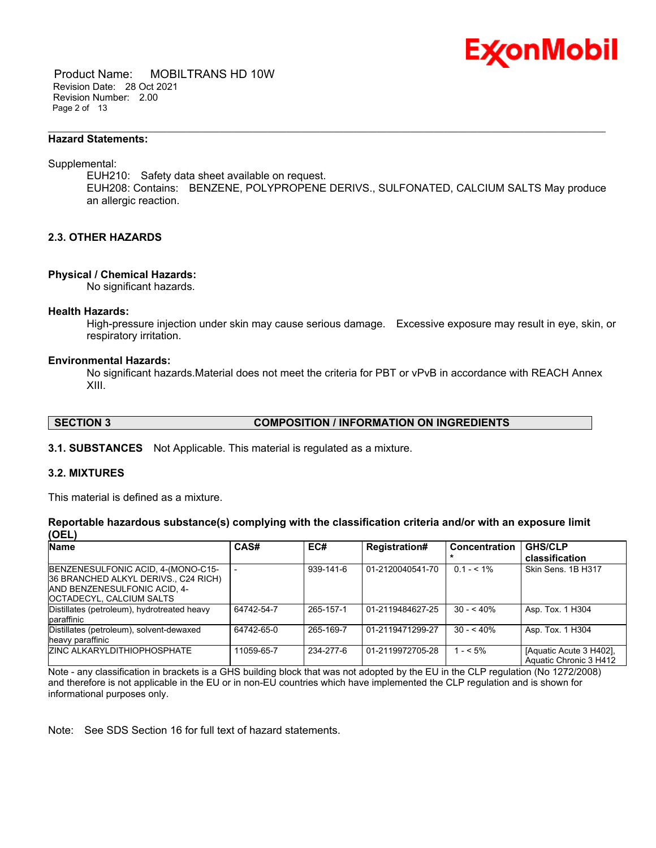

 Product Name: MOBILTRANS HD 10W Revision Date: 28 Oct 2021 Revision Number: 2.00 Page 2 of 13

#### **Hazard Statements:**

Supplemental:

EUH210: Safety data sheet available on request. EUH208: Contains: BENZENE, POLYPROPENE DERIVS., SULFONATED, CALCIUM SALTS May produce an allergic reaction.

\_\_\_\_\_\_\_\_\_\_\_\_\_\_\_\_\_\_\_\_\_\_\_\_\_\_\_\_\_\_\_\_\_\_\_\_\_\_\_\_\_\_\_\_\_\_\_\_\_\_\_\_\_\_\_\_\_\_\_\_\_\_\_\_\_\_\_\_\_\_\_\_\_\_\_\_\_\_\_\_\_\_\_\_\_\_\_\_\_\_\_\_\_\_\_\_\_\_\_\_\_\_\_\_\_\_\_\_\_\_\_\_\_\_\_\_\_

#### **2.3. OTHER HAZARDS**

#### **Physical / Chemical Hazards:**

No significant hazards.

#### **Health Hazards:**

High-pressure injection under skin may cause serious damage. Excessive exposure may result in eye, skin, or respiratory irritation.

#### **Environmental Hazards:**

No significant hazards.Material does not meet the criteria for PBT or vPvB in accordance with REACH Annex XIII.

**SECTION 3 COMPOSITION / INFORMATION ON INGREDIENTS**

**3.1. SUBSTANCES** Not Applicable. This material is regulated as a mixture.

#### **3.2. MIXTURES**

This material is defined as a mixture.

#### **Reportable hazardous substance(s) complying with the classification criteria and/or with an exposure limit (OEL)**

| <b>Name</b>                                                                                                                                   | <b>CAS#</b> | EC#       | <b>Registration#</b> | <b>Concentration</b> | <b>GHS/CLP</b>                                    |
|-----------------------------------------------------------------------------------------------------------------------------------------------|-------------|-----------|----------------------|----------------------|---------------------------------------------------|
|                                                                                                                                               |             |           |                      |                      | classification                                    |
| BENZENESULFONIC ACID, 4-(MONO-C15-<br>36 BRANCHED ALKYL DERIVS., C24 RICH)<br><b>AND BENZENESULFONIC ACID. 4-</b><br>OCTADECYL, CALCIUM SALTS |             | 939-141-6 | 01-2120040541-70     | $0.1 - 5.1\%$        | Skin Sens. 1B H317                                |
| Distillates (petroleum), hydrotreated heavy<br>paraffinic                                                                                     | 64742-54-7  | 265-157-1 | 01-2119484627-25     | $30 - 540%$          | Asp. Tox. 1 H304                                  |
| Distillates (petroleum), solvent-dewaxed<br>heavy paraffinic                                                                                  | 64742-65-0  | 265-169-7 | 01-2119471299-27     | $30 - 540%$          | Asp. Tox. 1 H304                                  |
| <b>ZINC ALKARYLDITHIOPHOSPHATE</b>                                                                                                            | 11059-65-7  | 234-277-6 | 01-2119972705-28     | $1 - 5\%$            | [Aquatic Acute 3 H402].<br>Aquatic Chronic 3 H412 |

Note - any classification in brackets is a GHS building block that was not adopted by the EU in the CLP regulation (No 1272/2008) and therefore is not applicable in the EU or in non-EU countries which have implemented the CLP regulation and is shown for informational purposes only.

Note: See SDS Section 16 for full text of hazard statements.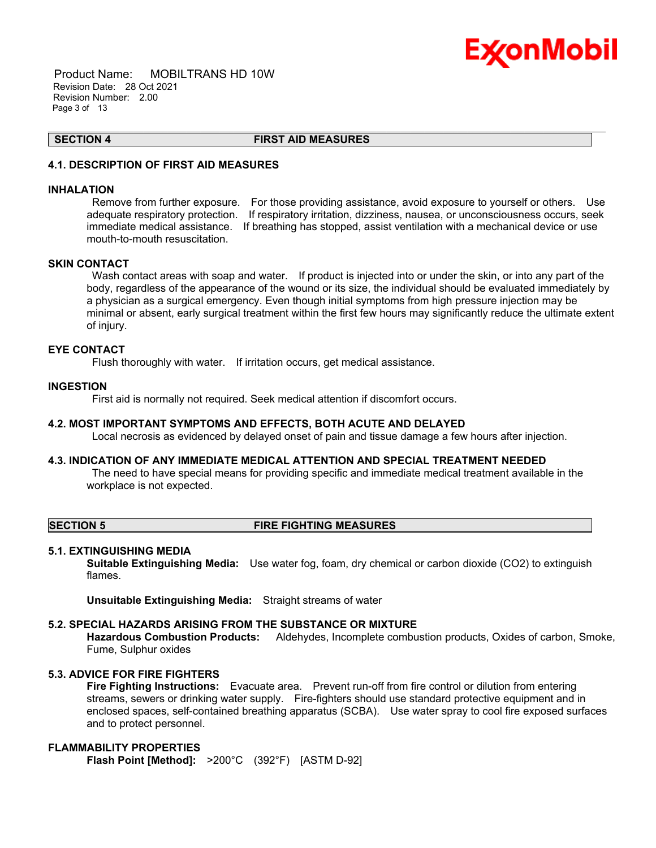

 Product Name: MOBILTRANS HD 10W Revision Date: 28 Oct 2021 Revision Number: 2.00 Page 3 of 13

**SECTION 4 FIRST AID MEASURES**

\_\_\_\_\_\_\_\_\_\_\_\_\_\_\_\_\_\_\_\_\_\_\_\_\_\_\_\_\_\_\_\_\_\_\_\_\_\_\_\_\_\_\_\_\_\_\_\_\_\_\_\_\_\_\_\_\_\_\_\_\_\_\_\_\_\_\_\_\_\_\_\_\_\_\_\_\_\_\_\_\_\_\_\_\_\_\_\_\_\_\_\_\_\_\_\_\_\_\_\_\_\_\_\_\_\_\_\_\_\_\_\_\_\_\_\_\_

### **4.1. DESCRIPTION OF FIRST AID MEASURES**

#### **INHALATION**

Remove from further exposure. For those providing assistance, avoid exposure to yourself or others. Use adequate respiratory protection. If respiratory irritation, dizziness, nausea, or unconsciousness occurs, seek immediate medical assistance. If breathing has stopped, assist ventilation with a mechanical device or use mouth-to-mouth resuscitation.

#### **SKIN CONTACT**

Wash contact areas with soap and water. If product is injected into or under the skin, or into any part of the body, regardless of the appearance of the wound or its size, the individual should be evaluated immediately by a physician as a surgical emergency. Even though initial symptoms from high pressure injection may be minimal or absent, early surgical treatment within the first few hours may significantly reduce the ultimate extent of injury.

#### **EYE CONTACT**

Flush thoroughly with water. If irritation occurs, get medical assistance.

#### **INGESTION**

First aid is normally not required. Seek medical attention if discomfort occurs.

#### **4.2. MOST IMPORTANT SYMPTOMS AND EFFECTS, BOTH ACUTE AND DELAYED**

Local necrosis as evidenced by delayed onset of pain and tissue damage a few hours after injection.

#### **4.3. INDICATION OF ANY IMMEDIATE MEDICAL ATTENTION AND SPECIAL TREATMENT NEEDED**

The need to have special means for providing specific and immediate medical treatment available in the workplace is not expected.

#### **SECTION 5 FIRE FIGHTING MEASURES**

#### **5.1. EXTINGUISHING MEDIA**

**Suitable Extinguishing Media:** Use water fog, foam, dry chemical or carbon dioxide (CO2) to extinguish flames.

**Unsuitable Extinguishing Media:** Straight streams of water

### **5.2. SPECIAL HAZARDS ARISING FROM THE SUBSTANCE OR MIXTURE**

**Hazardous Combustion Products:** Aldehydes, Incomplete combustion products, Oxides of carbon, Smoke, Fume, Sulphur oxides

### **5.3. ADVICE FOR FIRE FIGHTERS**

**Fire Fighting Instructions:** Evacuate area. Prevent run-off from fire control or dilution from entering streams, sewers or drinking water supply. Fire-fighters should use standard protective equipment and in enclosed spaces, self-contained breathing apparatus (SCBA). Use water spray to cool fire exposed surfaces and to protect personnel.

### **FLAMMABILITY PROPERTIES**

**Flash Point [Method]:** >200°C (392°F) [ASTM D-92]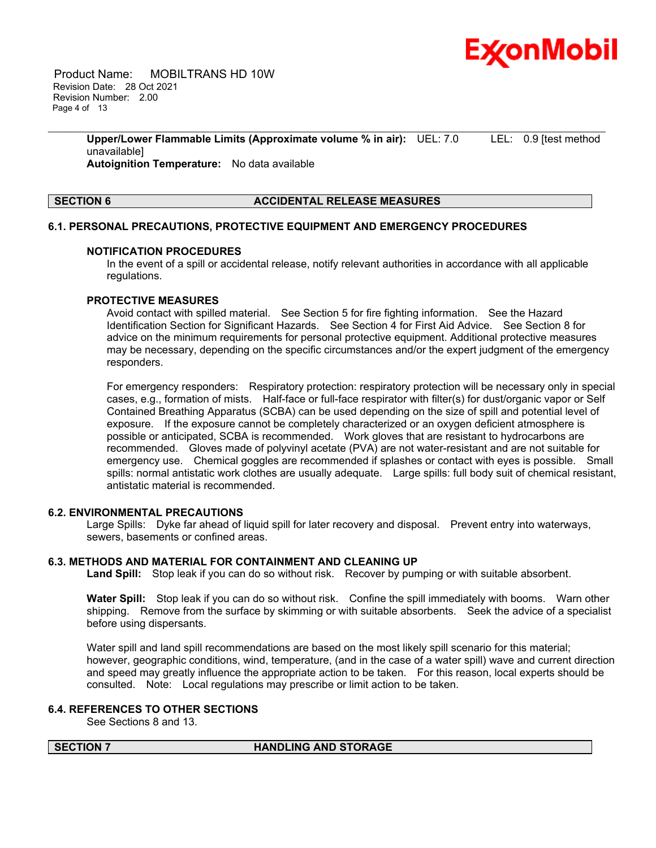

 Product Name: MOBILTRANS HD 10W Revision Date: 28 Oct 2021 Revision Number: 2.00 Page 4 of 13

> **Upper/Lower Flammable Limits (Approximate volume % in air):** UEL: 7.0 LEL: 0.9 [test method unavailable] **Autoignition Temperature:** No data available

\_\_\_\_\_\_\_\_\_\_\_\_\_\_\_\_\_\_\_\_\_\_\_\_\_\_\_\_\_\_\_\_\_\_\_\_\_\_\_\_\_\_\_\_\_\_\_\_\_\_\_\_\_\_\_\_\_\_\_\_\_\_\_\_\_\_\_\_\_\_\_\_\_\_\_\_\_\_\_\_\_\_\_\_\_\_\_\_\_\_\_\_\_\_\_\_\_\_\_\_\_\_\_\_\_\_\_\_\_\_\_\_\_\_\_\_\_

#### **SECTION 6 ACCIDENTAL RELEASE MEASURES**

#### **6.1. PERSONAL PRECAUTIONS, PROTECTIVE EQUIPMENT AND EMERGENCY PROCEDURES**

#### **NOTIFICATION PROCEDURES**

In the event of a spill or accidental release, notify relevant authorities in accordance with all applicable regulations.

#### **PROTECTIVE MEASURES**

Avoid contact with spilled material. See Section 5 for fire fighting information. See the Hazard Identification Section for Significant Hazards. See Section 4 for First Aid Advice. See Section 8 for advice on the minimum requirements for personal protective equipment. Additional protective measures may be necessary, depending on the specific circumstances and/or the expert judgment of the emergency responders.

For emergency responders: Respiratory protection: respiratory protection will be necessary only in special cases, e.g., formation of mists. Half-face or full-face respirator with filter(s) for dust/organic vapor or Self Contained Breathing Apparatus (SCBA) can be used depending on the size of spill and potential level of exposure. If the exposure cannot be completely characterized or an oxygen deficient atmosphere is possible or anticipated, SCBA is recommended. Work gloves that are resistant to hydrocarbons are recommended. Gloves made of polyvinyl acetate (PVA) are not water-resistant and are not suitable for emergency use. Chemical goggles are recommended if splashes or contact with eyes is possible. Small spills: normal antistatic work clothes are usually adequate. Large spills: full body suit of chemical resistant, antistatic material is recommended.

#### **6.2. ENVIRONMENTAL PRECAUTIONS**

Large Spills: Dyke far ahead of liquid spill for later recovery and disposal. Prevent entry into waterways, sewers, basements or confined areas.

#### **6.3. METHODS AND MATERIAL FOR CONTAINMENT AND CLEANING UP**

**Land Spill:** Stop leak if you can do so without risk. Recover by pumping or with suitable absorbent.

**Water Spill:** Stop leak if you can do so without risk. Confine the spill immediately with booms. Warn other shipping. Remove from the surface by skimming or with suitable absorbents. Seek the advice of a specialist before using dispersants.

Water spill and land spill recommendations are based on the most likely spill scenario for this material; however, geographic conditions, wind, temperature, (and in the case of a water spill) wave and current direction and speed may greatly influence the appropriate action to be taken. For this reason, local experts should be consulted. Note: Local regulations may prescribe or limit action to be taken.

#### **6.4. REFERENCES TO OTHER SECTIONS**

See Sections 8 and 13.

#### **SECTION 7 HANDLING AND STORAGE**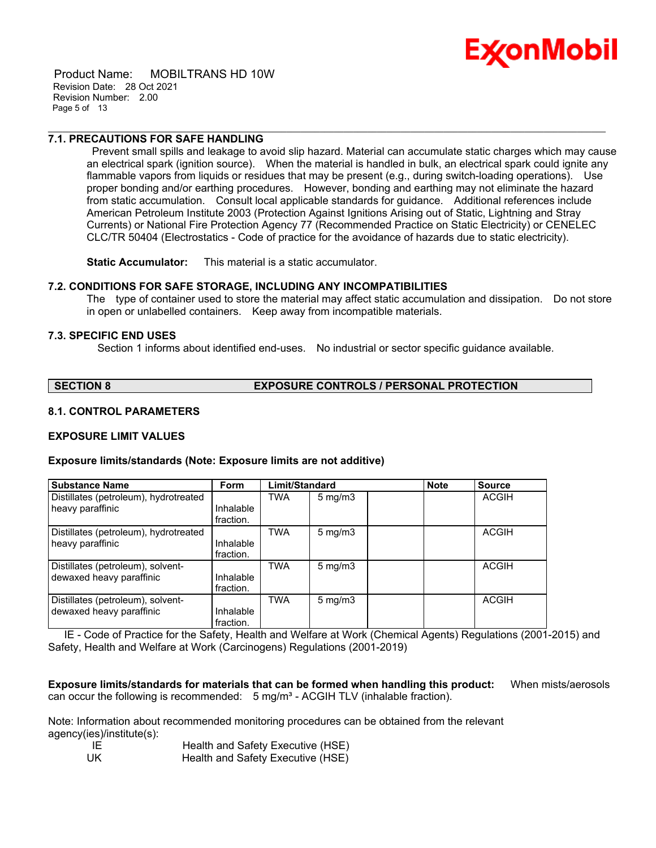

 Product Name: MOBILTRANS HD 10W Revision Date: 28 Oct 2021 Revision Number: 2.00 Page 5 of 13

#### **7.1. PRECAUTIONS FOR SAFE HANDLING**

Prevent small spills and leakage to avoid slip hazard. Material can accumulate static charges which may cause an electrical spark (ignition source). When the material is handled in bulk, an electrical spark could ignite any flammable vapors from liquids or residues that may be present (e.g., during switch-loading operations). Use proper bonding and/or earthing procedures. However, bonding and earthing may not eliminate the hazard from static accumulation. Consult local applicable standards for guidance. Additional references include American Petroleum Institute 2003 (Protection Against Ignitions Arising out of Static, Lightning and Stray Currents) or National Fire Protection Agency 77 (Recommended Practice on Static Electricity) or CENELEC CLC/TR 50404 (Electrostatics - Code of practice for the avoidance of hazards due to static electricity).

\_\_\_\_\_\_\_\_\_\_\_\_\_\_\_\_\_\_\_\_\_\_\_\_\_\_\_\_\_\_\_\_\_\_\_\_\_\_\_\_\_\_\_\_\_\_\_\_\_\_\_\_\_\_\_\_\_\_\_\_\_\_\_\_\_\_\_\_\_\_\_\_\_\_\_\_\_\_\_\_\_\_\_\_\_\_\_\_\_\_\_\_\_\_\_\_\_\_\_\_\_\_\_\_\_\_\_\_\_\_\_\_\_\_\_\_\_

**Static Accumulator:** This material is a static accumulator.

#### **7.2. CONDITIONS FOR SAFE STORAGE, INCLUDING ANY INCOMPATIBILITIES**

The type of container used to store the material may affect static accumulation and dissipation. Do not store in open or unlabelled containers. Keep away from incompatible materials.

#### **7.3. SPECIFIC END USES**

Section 1 informs about identified end-uses. No industrial or sector specific guidance available.

### **SECTION 8 EXPOSURE CONTROLS / PERSONAL PROTECTION**

#### **8.1. CONTROL PARAMETERS**

#### **EXPOSURE LIMIT VALUES**

#### **Exposure limits/standards (Note: Exposure limits are not additive)**

| <b>Substance Name</b>                                         | <b>Form</b>            | Limit/Standard |                     | <b>Note</b> | <b>Source</b> |
|---------------------------------------------------------------|------------------------|----------------|---------------------|-------------|---------------|
| Distillates (petroleum), hydrotreated<br>heavy paraffinic     | Inhalable<br>fraction. | TWA            | $5 \text{ mg/m}$    |             | <b>ACGIH</b>  |
| Distillates (petroleum), hydrotreated<br>heavy paraffinic     | Inhalable<br>fraction. | TWA            | $5 \,\mathrm{mg/m}$ |             | <b>ACGIH</b>  |
| Distillates (petroleum), solvent-<br>dewaxed heavy paraffinic | Inhalable<br>fraction. | <b>TWA</b>     | $5 \text{ mg/m}$    |             | <b>ACGIH</b>  |
| Distillates (petroleum), solvent-<br>dewaxed heavy paraffinic | Inhalable<br>fraction. | <b>TWA</b>     | $5 \text{ mg/m}$    |             | <b>ACGIH</b>  |

 IE - Code of Practice for the Safety, Health and Welfare at Work (Chemical Agents) Regulations (2001-2015) and Safety, Health and Welfare at Work (Carcinogens) Regulations (2001-2019)

**Exposure limits/standards for materials that can be formed when handling this product:** When mists/aerosols can occur the following is recommended:  $5 \text{ mg/m}^3$  - ACGIH TLV (inhalable fraction).

Note: Information about recommended monitoring procedures can be obtained from the relevant agency(ies)/institute(s):

| -IF  | Health and Safety Executive (HSE) |
|------|-----------------------------------|
| - UK | Health and Safety Executive (HSE) |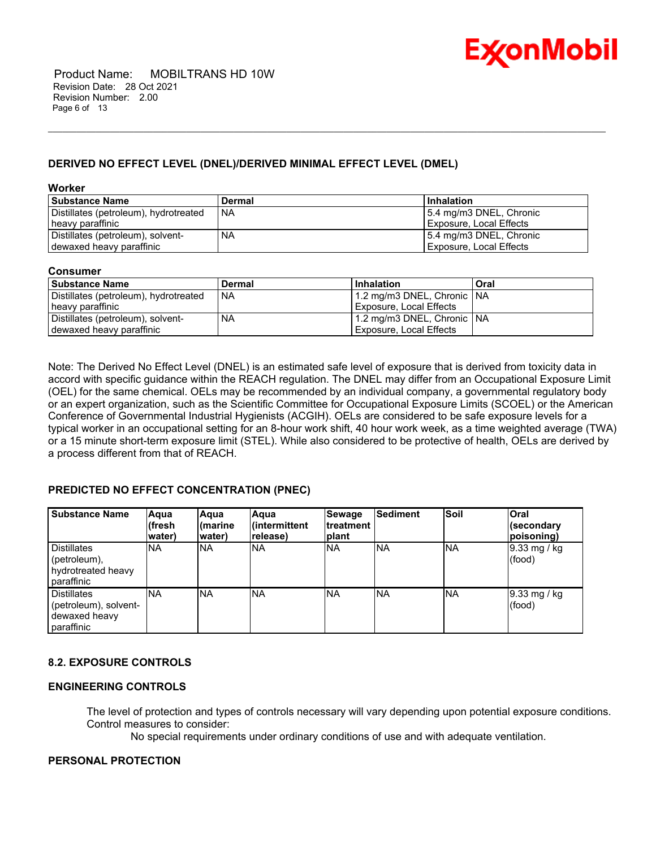

### **DERIVED NO EFFECT LEVEL (DNEL)/DERIVED MINIMAL EFFECT LEVEL (DMEL)**

**Worker**

| l Substance Name                      | <b>Dermal</b> | Inhalation              |
|---------------------------------------|---------------|-------------------------|
| Distillates (petroleum), hydrotreated | I NA          | 5.4 mg/m3 DNEL, Chronic |
| heavy paraffinic                      |               | Exposure, Local Effects |
| Distillates (petroleum), solvent-     | <b>NA</b>     | 5.4 mg/m3 DNEL, Chronic |
| dewaxed heavy paraffinic              |               | Exposure, Local Effects |

\_\_\_\_\_\_\_\_\_\_\_\_\_\_\_\_\_\_\_\_\_\_\_\_\_\_\_\_\_\_\_\_\_\_\_\_\_\_\_\_\_\_\_\_\_\_\_\_\_\_\_\_\_\_\_\_\_\_\_\_\_\_\_\_\_\_\_\_\_\_\_\_\_\_\_\_\_\_\_\_\_\_\_\_\_\_\_\_\_\_\_\_\_\_\_\_\_\_\_\_\_\_\_\_\_\_\_\_\_\_\_\_\_\_\_\_\_

#### **Consumer**

| l Substance Name                      | Dermal    | Inhalation                   | Oral |
|---------------------------------------|-----------|------------------------------|------|
| Distillates (petroleum), hydrotreated | <b>NA</b> | 1.2 mg/m3 DNEL, Chronic   NA |      |
| heavy paraffinic                      |           | Exposure, Local Effects      |      |
| Distillates (petroleum), solvent-     | <b>NA</b> | 1.2 mg/m3 DNEL, Chronic NA   |      |
| dewaxed heavy paraffinic              |           | Exposure, Local Effects      |      |

Note: The Derived No Effect Level (DNEL) is an estimated safe level of exposure that is derived from toxicity data in accord with specific guidance within the REACH regulation. The DNEL may differ from an Occupational Exposure Limit (OEL) for the same chemical. OELs may be recommended by an individual company, a governmental regulatory body or an expert organization, such as the Scientific Committee for Occupational Exposure Limits (SCOEL) or the American Conference of Governmental Industrial Hygienists (ACGIH). OELs are considered to be safe exposure levels for a typical worker in an occupational setting for an 8-hour work shift, 40 hour work week, as a time weighted average (TWA) or a 15 minute short-term exposure limit (STEL). While also considered to be protective of health, OELs are derived by a process different from that of REACH.

#### **PREDICTED NO EFFECT CONCENTRATION (PNEC)**

| Substance Name                                                      | Aqua<br>l(fresh<br>water) | Aqua<br>l(marine<br>water) | Aaua<br>lintermittent<br>release) | Sewage<br>Itreatment<br> plant | Sediment  | Soil      | Oral<br>(secondary<br>poisoning) |
|---------------------------------------------------------------------|---------------------------|----------------------------|-----------------------------------|--------------------------------|-----------|-----------|----------------------------------|
| Distillates<br>(petroleum),<br>hydrotreated heavy<br>paraffinic     | <b>NA</b>                 | <b>NA</b>                  | NA.                               | <b>NA</b>                      | <b>NA</b> | <b>NA</b> | $9.33$ mg / kg<br>(food)         |
| Distillates<br>(petroleum), solvent-<br>dewaxed heavy<br>paraffinic | <b>NA</b>                 | <b>INA</b>                 | <b>NA</b>                         | INA.                           | <b>NA</b> | <b>NA</b> | $9.33 \text{ mg}$ / kg<br>(food) |

### **8.2. EXPOSURE CONTROLS**

#### **ENGINEERING CONTROLS**

The level of protection and types of controls necessary will vary depending upon potential exposure conditions. Control measures to consider:

No special requirements under ordinary conditions of use and with adequate ventilation.

#### **PERSONAL PROTECTION**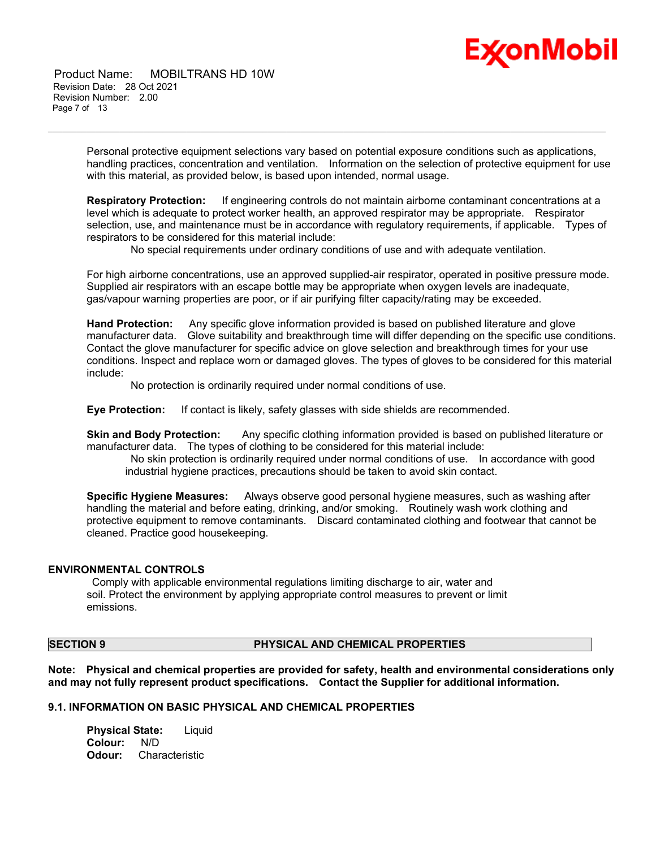

 Product Name: MOBILTRANS HD 10W Revision Date: 28 Oct 2021 Revision Number: 2.00 Page 7 of 13

> Personal protective equipment selections vary based on potential exposure conditions such as applications, handling practices, concentration and ventilation. Information on the selection of protective equipment for use with this material, as provided below, is based upon intended, normal usage.

\_\_\_\_\_\_\_\_\_\_\_\_\_\_\_\_\_\_\_\_\_\_\_\_\_\_\_\_\_\_\_\_\_\_\_\_\_\_\_\_\_\_\_\_\_\_\_\_\_\_\_\_\_\_\_\_\_\_\_\_\_\_\_\_\_\_\_\_\_\_\_\_\_\_\_\_\_\_\_\_\_\_\_\_\_\_\_\_\_\_\_\_\_\_\_\_\_\_\_\_\_\_\_\_\_\_\_\_\_\_\_\_\_\_\_\_\_

**Respiratory Protection:** If engineering controls do not maintain airborne contaminant concentrations at a level which is adequate to protect worker health, an approved respirator may be appropriate. Respirator selection, use, and maintenance must be in accordance with regulatory requirements, if applicable. Types of respirators to be considered for this material include:

No special requirements under ordinary conditions of use and with adequate ventilation.

For high airborne concentrations, use an approved supplied-air respirator, operated in positive pressure mode. Supplied air respirators with an escape bottle may be appropriate when oxygen levels are inadequate, gas/vapour warning properties are poor, or if air purifying filter capacity/rating may be exceeded.

**Hand Protection:** Any specific glove information provided is based on published literature and glove manufacturer data. Glove suitability and breakthrough time will differ depending on the specific use conditions. Contact the glove manufacturer for specific advice on glove selection and breakthrough times for your use conditions. Inspect and replace worn or damaged gloves. The types of gloves to be considered for this material include:

No protection is ordinarily required under normal conditions of use.

**Eye Protection:** If contact is likely, safety glasses with side shields are recommended.

**Skin and Body Protection:** Any specific clothing information provided is based on published literature or manufacturer data. The types of clothing to be considered for this material include:

No skin protection is ordinarily required under normal conditions of use. In accordance with good industrial hygiene practices, precautions should be taken to avoid skin contact.

**Specific Hygiene Measures:** Always observe good personal hygiene measures, such as washing after handling the material and before eating, drinking, and/or smoking. Routinely wash work clothing and protective equipment to remove contaminants. Discard contaminated clothing and footwear that cannot be cleaned. Practice good housekeeping.

#### **ENVIRONMENTAL CONTROLS**

Comply with applicable environmental regulations limiting discharge to air, water and soil. Protect the environment by applying appropriate control measures to prevent or limit emissions.

#### **SECTION 9 PHYSICAL AND CHEMICAL PROPERTIES**

**Note: Physical and chemical properties are provided for safety, health and environmental considerations only and may not fully represent product specifications. Contact the Supplier for additional information.**

#### **9.1. INFORMATION ON BASIC PHYSICAL AND CHEMICAL PROPERTIES**

**Physical State:** Liquid Colour: **Odour:** Characteristic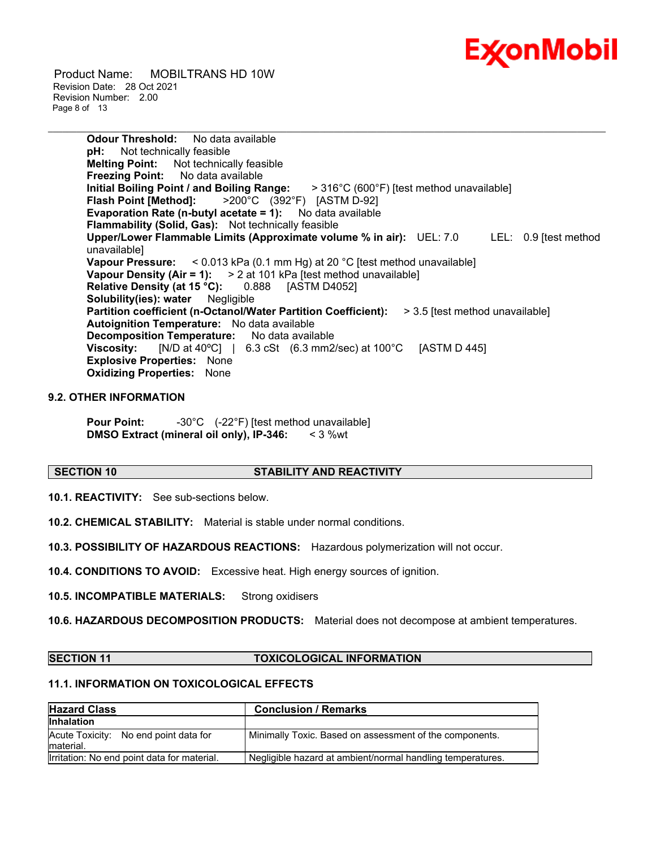

 Product Name: MOBILTRANS HD 10W Revision Date: 28 Oct 2021 Revision Number: 2.00 Page 8 of 13

> **Odour Threshold:** No data available **pH:** Not technically feasible **Melting Point:** Not technically feasible **Freezing Point:** No data available<br>Initial Boiling Point / and Boiling Range:  $>$  **316°C (600°F) [test method unavailable] Flash Point [Method]:** >200°C (392°F) [ASTM D-92] **Evaporation Rate (n-butyl acetate = 1):** No data available **Flammability (Solid, Gas):** Not technically feasible **Upper/Lower Flammable Limits (Approximate volume % in air):** UEL: 7.0 LEL: 0.9 [test method unavailable] **Vapour Pressure:** < 0.013 kPa (0.1 mm Hg) at 20 °C [test method unavailable] **Vapour Density (Air = 1):** > 2 at 101 kPa [test method unavailable] **Relative Density (at 15 °C):** 0.888 [ASTM D4052] **Solubility(ies): water** Negligible **Partition coefficient (n-Octanol/Water Partition Coefficient):** > 3.5 [test method unavailable] **Autoignition Temperature:** No data available **Decomposition Temperature:** No data available **Viscosity:** [N/D at 40°C] | 6.3 cSt (6.3 mm2/sec) at 100°C [ASTM D 445] **Explosive Properties:** None **Oxidizing Properties:** None

\_\_\_\_\_\_\_\_\_\_\_\_\_\_\_\_\_\_\_\_\_\_\_\_\_\_\_\_\_\_\_\_\_\_\_\_\_\_\_\_\_\_\_\_\_\_\_\_\_\_\_\_\_\_\_\_\_\_\_\_\_\_\_\_\_\_\_\_\_\_\_\_\_\_\_\_\_\_\_\_\_\_\_\_\_\_\_\_\_\_\_\_\_\_\_\_\_\_\_\_\_\_\_\_\_\_\_\_\_\_\_\_\_\_\_\_\_

#### **9.2. OTHER INFORMATION**

**Pour Point:**  $-30^{\circ}$ C (-22°F) [test method unavailable] **DMSO Extract (mineral oil only), IP-346:** < 3 %wt

#### **SECTION 10 STABILITY AND REACTIVITY**

**10.1. REACTIVITY:** See sub-sections below.

**10.2. CHEMICAL STABILITY:** Material is stable under normal conditions.

**10.3. POSSIBILITY OF HAZARDOUS REACTIONS:** Hazardous polymerization will not occur.

**10.4. CONDITIONS TO AVOID:** Excessive heat. High energy sources of ignition.

**10.5. INCOMPATIBLE MATERIALS:** Strong oxidisers

**10.6. HAZARDOUS DECOMPOSITION PRODUCTS:** Material does not decompose at ambient temperatures.

#### **SECTION 11 TOXICOLOGICAL INFORMATION**

### **11.1. INFORMATION ON TOXICOLOGICAL EFFECTS**

| <b>Hazard Class</b>                                 | <b>Conclusion / Remarks</b>                                |
|-----------------------------------------------------|------------------------------------------------------------|
| <b>Inhalation</b>                                   |                                                            |
| Acute Toxicity: No end point data for<br>Imaterial. | Minimally Toxic. Based on assessment of the components.    |
| Irritation: No end point data for material.         | Negligible hazard at ambient/normal handling temperatures. |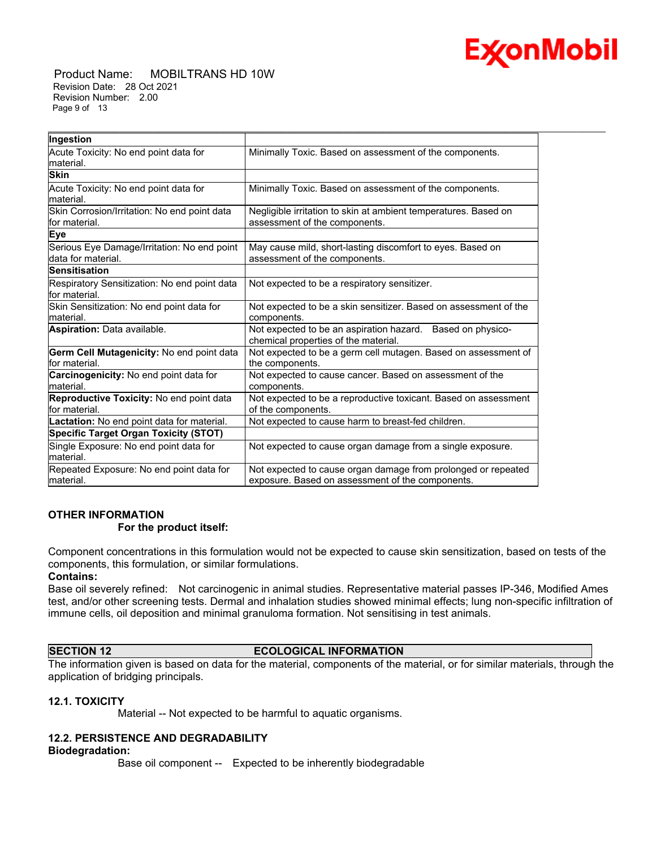

 Product Name: MOBILTRANS HD 10W Revision Date: 28 Oct 2021 Revision Number: 2.00 Page 9 of 13

| Ingestion                                    |                                                                  |  |  |
|----------------------------------------------|------------------------------------------------------------------|--|--|
| Acute Toxicity: No end point data for        | Minimally Toxic. Based on assessment of the components.          |  |  |
| material.                                    |                                                                  |  |  |
| <b>Skin</b>                                  |                                                                  |  |  |
| Acute Toxicity: No end point data for        | Minimally Toxic. Based on assessment of the components.          |  |  |
| material.                                    |                                                                  |  |  |
| Skin Corrosion/Irritation: No end point data | Negligible irritation to skin at ambient temperatures. Based on  |  |  |
| for material.                                | assessment of the components.                                    |  |  |
| Eye                                          |                                                                  |  |  |
| Serious Eye Damage/Irritation: No end point  | May cause mild, short-lasting discomfort to eyes. Based on       |  |  |
| data for material.                           | assessment of the components.                                    |  |  |
| <b>Sensitisation</b>                         |                                                                  |  |  |
| Respiratory Sensitization: No end point data | Not expected to be a respiratory sensitizer.                     |  |  |
| lfor material.                               |                                                                  |  |  |
| Skin Sensitization: No end point data for    | Not expected to be a skin sensitizer. Based on assessment of the |  |  |
| material.                                    | components.                                                      |  |  |
| <b>Aspiration: Data available.</b>           | Not expected to be an aspiration hazard. Based on physico-       |  |  |
|                                              | chemical properties of the material.                             |  |  |
| Germ Cell Mutagenicity: No end point data    | Not expected to be a germ cell mutagen. Based on assessment of   |  |  |
| for material.                                | the components.                                                  |  |  |
| Carcinogenicity: No end point data for       | Not expected to cause cancer. Based on assessment of the         |  |  |
| material.                                    | components.                                                      |  |  |
| Reproductive Toxicity: No end point data     | Not expected to be a reproductive toxicant. Based on assessment  |  |  |
| for material.                                | of the components.                                               |  |  |
| Lactation: No end point data for material.   | Not expected to cause harm to breast-fed children.               |  |  |
| <b>Specific Target Organ Toxicity (STOT)</b> |                                                                  |  |  |
| Single Exposure: No end point data for       | Not expected to cause organ damage from a single exposure.       |  |  |
| material.                                    |                                                                  |  |  |
| Repeated Exposure: No end point data for     | Not expected to cause organ damage from prolonged or repeated    |  |  |
| material.                                    | exposure. Based on assessment of the components.                 |  |  |

\_\_\_\_\_\_\_\_\_\_\_\_\_\_\_\_\_\_\_\_\_\_\_\_\_\_\_\_\_\_\_\_\_\_\_\_\_\_\_\_\_\_\_\_\_\_\_\_\_\_\_\_\_\_\_\_\_\_\_\_\_\_\_\_\_\_\_\_\_\_\_\_\_\_\_\_\_\_\_\_\_\_\_\_\_\_\_\_\_\_\_\_\_\_\_\_\_\_\_\_\_\_\_\_\_\_\_\_\_\_\_\_\_\_\_\_\_

#### **OTHER INFORMATION For the product itself:**

Component concentrations in this formulation would not be expected to cause skin sensitization, based on tests of the components, this formulation, or similar formulations.

#### **Contains:**

Base oil severely refined: Not carcinogenic in animal studies. Representative material passes IP-346, Modified Ames test, and/or other screening tests. Dermal and inhalation studies showed minimal effects; lung non-specific infiltration of immune cells, oil deposition and minimal granuloma formation. Not sensitising in test animals.

### **SECTION 12 ECOLOGICAL INFORMATION**

The information given is based on data for the material, components of the material, or for similar materials, through the application of bridging principals.

#### **12.1. TOXICITY**

Material -- Not expected to be harmful to aquatic organisms.

### **12.2. PERSISTENCE AND DEGRADABILITY**

#### **Biodegradation:**

Base oil component -- Expected to be inherently biodegradable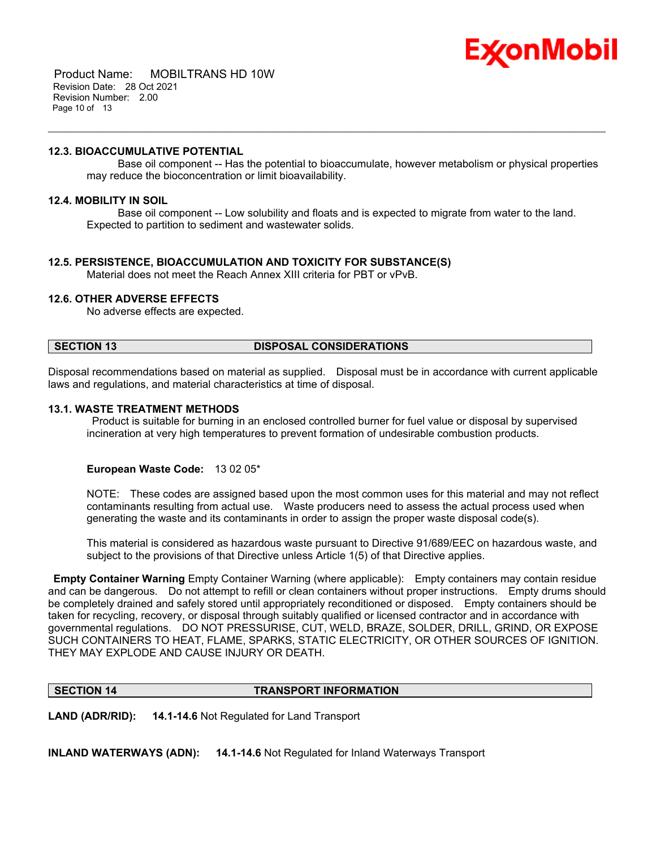

 Product Name: MOBILTRANS HD 10W Revision Date: 28 Oct 2021 Revision Number: 2.00 Page 10 of 13

#### **12.3. BIOACCUMULATIVE POTENTIAL**

 Base oil component -- Has the potential to bioaccumulate, however metabolism or physical properties may reduce the bioconcentration or limit bioavailability.

#### **12.4. MOBILITY IN SOIL**

 Base oil component -- Low solubility and floats and is expected to migrate from water to the land. Expected to partition to sediment and wastewater solids.

\_\_\_\_\_\_\_\_\_\_\_\_\_\_\_\_\_\_\_\_\_\_\_\_\_\_\_\_\_\_\_\_\_\_\_\_\_\_\_\_\_\_\_\_\_\_\_\_\_\_\_\_\_\_\_\_\_\_\_\_\_\_\_\_\_\_\_\_\_\_\_\_\_\_\_\_\_\_\_\_\_\_\_\_\_\_\_\_\_\_\_\_\_\_\_\_\_\_\_\_\_\_\_\_\_\_\_\_\_\_\_\_\_\_\_\_\_

#### **12.5. PERSISTENCE, BIOACCUMULATION AND TOXICITY FOR SUBSTANCE(S)**

Material does not meet the Reach Annex XIII criteria for PBT or vPvB.

#### **12.6. OTHER ADVERSE EFFECTS**

No adverse effects are expected.

#### **SECTION 13 DISPOSAL CONSIDERATIONS**

Disposal recommendations based on material as supplied. Disposal must be in accordance with current applicable laws and regulations, and material characteristics at time of disposal.

#### **13.1. WASTE TREATMENT METHODS**

Product is suitable for burning in an enclosed controlled burner for fuel value or disposal by supervised incineration at very high temperatures to prevent formation of undesirable combustion products.

#### **European Waste Code:** 13 02 05\*

NOTE: These codes are assigned based upon the most common uses for this material and may not reflect contaminants resulting from actual use. Waste producers need to assess the actual process used when generating the waste and its contaminants in order to assign the proper waste disposal code(s).

This material is considered as hazardous waste pursuant to Directive 91/689/EEC on hazardous waste, and subject to the provisions of that Directive unless Article 1(5) of that Directive applies.

**Empty Container Warning** Empty Container Warning (where applicable): Empty containers may contain residue and can be dangerous. Do not attempt to refill or clean containers without proper instructions. Empty drums should be completely drained and safely stored until appropriately reconditioned or disposed. Empty containers should be taken for recycling, recovery, or disposal through suitably qualified or licensed contractor and in accordance with governmental regulations. DO NOT PRESSURISE, CUT, WELD, BRAZE, SOLDER, DRILL, GRIND, OR EXPOSE SUCH CONTAINERS TO HEAT, FLAME, SPARKS, STATIC ELECTRICITY, OR OTHER SOURCES OF IGNITION. THEY MAY EXPLODE AND CAUSE INJURY OR DEATH.

#### **SECTION 14 TRANSPORT INFORMATION**

**LAND (ADR/RID): 14.1-14.6** Not Regulated for Land Transport

**INLAND WATERWAYS (ADN): 14.1-14.6** Not Regulated for Inland Waterways Transport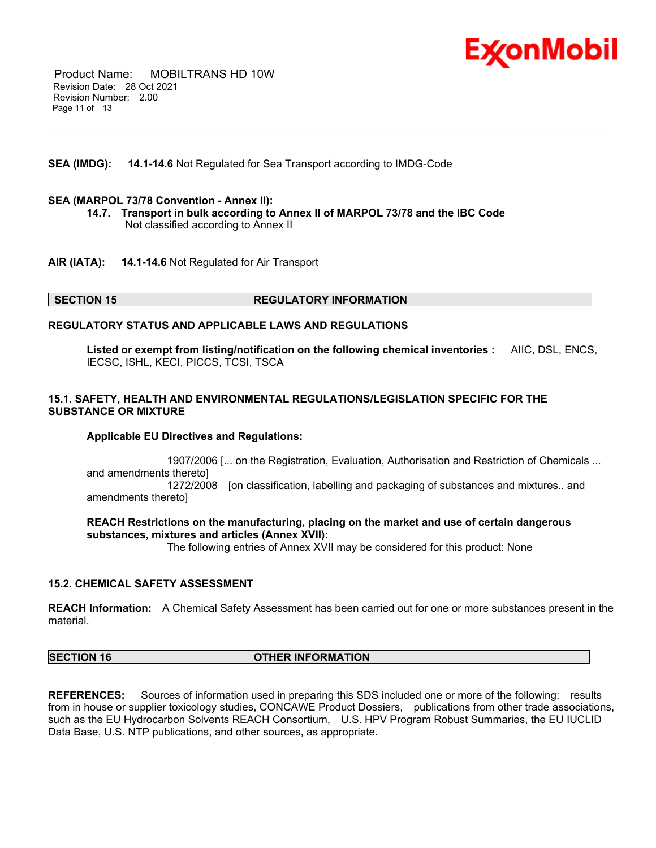

 Product Name: MOBILTRANS HD 10W Revision Date: 28 Oct 2021 Revision Number: 2.00 Page 11 of 13

#### **SEA (IMDG): 14.1-14.6** Not Regulated for Sea Transport according to IMDG-Code

#### **SEA (MARPOL 73/78 Convention - Annex II):**

**14.7. Transport in bulk according to Annex II of MARPOL 73/78 and the IBC Code** Not classified according to Annex II

\_\_\_\_\_\_\_\_\_\_\_\_\_\_\_\_\_\_\_\_\_\_\_\_\_\_\_\_\_\_\_\_\_\_\_\_\_\_\_\_\_\_\_\_\_\_\_\_\_\_\_\_\_\_\_\_\_\_\_\_\_\_\_\_\_\_\_\_\_\_\_\_\_\_\_\_\_\_\_\_\_\_\_\_\_\_\_\_\_\_\_\_\_\_\_\_\_\_\_\_\_\_\_\_\_\_\_\_\_\_\_\_\_\_\_\_\_

**AIR (IATA): 14.1-14.6** Not Regulated for Air Transport

#### **SECTION 15 REGULATORY INFORMATION**

#### **REGULATORY STATUS AND APPLICABLE LAWS AND REGULATIONS**

**Listed or exempt from listing/notification on the following chemical inventories :** AIIC, DSL, ENCS, IECSC, ISHL, KECI, PICCS, TCSI, TSCA

#### **15.1. SAFETY, HEALTH AND ENVIRONMENTAL REGULATIONS/LEGISLATION SPECIFIC FOR THE SUBSTANCE OR MIXTURE**

#### **Applicable EU Directives and Regulations:**

 1907/2006 [... on the Registration, Evaluation, Authorisation and Restriction of Chemicals ... and amendments thereto] 1272/2008 [on classification, labelling and packaging of substances and mixtures.. and amendments thereto]

#### **REACH Restrictions on the manufacturing, placing on the market and use of certain dangerous substances, mixtures and articles (Annex XVII):**

The following entries of Annex XVII may be considered for this product: None

#### **15.2. CHEMICAL SAFETY ASSESSMENT**

**REACH Information:** A Chemical Safety Assessment has been carried out for one or more substances present in the material.

#### **SECTION 16 OTHER INFORMATION**

**REFERENCES:** Sources of information used in preparing this SDS included one or more of the following: results from in house or supplier toxicology studies, CONCAWE Product Dossiers, publications from other trade associations, such as the EU Hydrocarbon Solvents REACH Consortium, U.S. HPV Program Robust Summaries, the EU IUCLID Data Base, U.S. NTP publications, and other sources, as appropriate.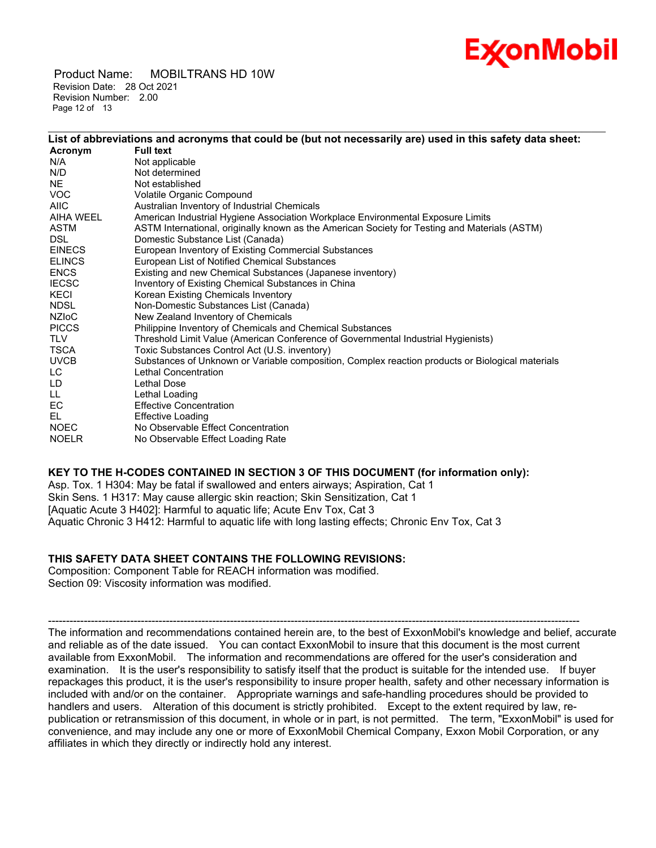# Ex⁄onMobil

 Product Name: MOBILTRANS HD 10W Revision Date: 28 Oct 2021 Revision Number: 2.00 Page 12 of 13

|               | List of abbreviations and acronyms that could be (but not necessarily are) used in this safety data sheet: |
|---------------|------------------------------------------------------------------------------------------------------------|
| Acronym       | <b>Full text</b>                                                                                           |
| N/A           | Not applicable                                                                                             |
| N/D           | Not determined                                                                                             |
| <b>NE</b>     | Not established                                                                                            |
| VOC.          | Volatile Organic Compound                                                                                  |
| <b>AIIC</b>   | Australian Inventory of Industrial Chemicals                                                               |
| AIHA WEEL     | American Industrial Hygiene Association Workplace Environmental Exposure Limits                            |
| <b>ASTM</b>   | ASTM International, originally known as the American Society for Testing and Materials (ASTM)              |
| <b>DSL</b>    | Domestic Substance List (Canada)                                                                           |
| <b>EINECS</b> | European Inventory of Existing Commercial Substances                                                       |
| <b>ELINCS</b> | European List of Notified Chemical Substances                                                              |
| <b>ENCS</b>   | Existing and new Chemical Substances (Japanese inventory)                                                  |
| <b>IECSC</b>  | Inventory of Existing Chemical Substances in China                                                         |
| KECI          | Korean Existing Chemicals Inventory                                                                        |
| <b>NDSL</b>   | Non-Domestic Substances List (Canada)                                                                      |
| NZIoC         | New Zealand Inventory of Chemicals                                                                         |
| <b>PICCS</b>  | Philippine Inventory of Chemicals and Chemical Substances                                                  |
| <b>TLV</b>    | Threshold Limit Value (American Conference of Governmental Industrial Hygienists)                          |
| TSCA          | Toxic Substances Control Act (U.S. inventory)                                                              |
| <b>UVCB</b>   | Substances of Unknown or Variable composition, Complex reaction products or Biological materials           |
| LC.           | Lethal Concentration                                                                                       |
| LD            | Lethal Dose                                                                                                |
| LL.           | Lethal Loading                                                                                             |
| EC            | <b>Effective Concentration</b>                                                                             |
| EL.           | Effective Loading                                                                                          |
| <b>NOEC</b>   | No Observable Effect Concentration                                                                         |
| <b>NOELR</b>  | No Observable Effect Loading Rate                                                                          |

\_\_\_\_\_\_\_\_\_\_\_\_\_\_\_\_\_\_\_\_\_\_\_\_\_\_\_\_\_\_\_\_\_\_\_\_\_\_\_\_\_\_\_\_\_\_\_\_\_\_\_\_\_\_\_\_\_\_\_\_\_\_\_\_\_\_\_\_\_\_\_\_\_\_\_\_\_\_\_\_\_\_\_\_\_\_\_\_\_\_\_\_\_\_\_\_\_\_\_\_\_\_\_\_\_\_\_\_\_\_\_\_\_\_\_\_\_

#### **KEY TO THE H-CODES CONTAINED IN SECTION 3 OF THIS DOCUMENT (for information only):**

Asp. Tox. 1 H304: May be fatal if swallowed and enters airways; Aspiration, Cat 1 Skin Sens. 1 H317: May cause allergic skin reaction; Skin Sensitization, Cat 1 [Aquatic Acute 3 H402]: Harmful to aquatic life; Acute Env Tox, Cat 3 Aquatic Chronic 3 H412: Harmful to aquatic life with long lasting effects; Chronic Env Tox, Cat 3

#### **THIS SAFETY DATA SHEET CONTAINS THE FOLLOWING REVISIONS:**

Composition: Component Table for REACH information was modified. Section 09: Viscosity information was modified.

----------------------------------------------------------------------------------------------------------------------------------------------------- The information and recommendations contained herein are, to the best of ExxonMobil's knowledge and belief, accurate and reliable as of the date issued. You can contact ExxonMobil to insure that this document is the most current available from ExxonMobil. The information and recommendations are offered for the user's consideration and examination. It is the user's responsibility to satisfy itself that the product is suitable for the intended use. If buyer repackages this product, it is the user's responsibility to insure proper health, safety and other necessary information is included with and/or on the container. Appropriate warnings and safe-handling procedures should be provided to handlers and users. Alteration of this document is strictly prohibited. Except to the extent required by law, republication or retransmission of this document, in whole or in part, is not permitted. The term, "ExxonMobil" is used for convenience, and may include any one or more of ExxonMobil Chemical Company, Exxon Mobil Corporation, or any affiliates in which they directly or indirectly hold any interest.